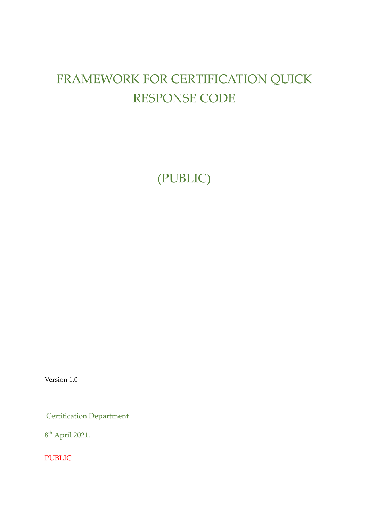# FRAMEWORK FOR CERTIFICATION QUICK RESPONSE CODE

(PUBLIC)

Version 1.0

Certification Department

8<sup>th</sup> April 2021.

PUBLIC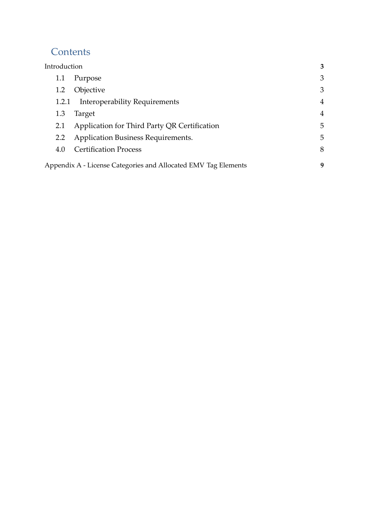## **Contents**

| Introduction |                                                                | 3              |
|--------------|----------------------------------------------------------------|----------------|
| 1.1          | Purpose                                                        | 3              |
| 1.2          | Objective                                                      | 3              |
| 1.2.1        | Interoperability Requirements                                  | 4              |
| 1.3          | Target                                                         | $\overline{4}$ |
| 2.1          | Application for Third Party QR Certification                   | 5              |
| 2.2          | <b>Application Business Requirements.</b>                      | 5              |
| 4.0          | <b>Certification Process</b>                                   | 8              |
|              | Appendix A - License Categories and Allocated EMV Tag Elements | 9              |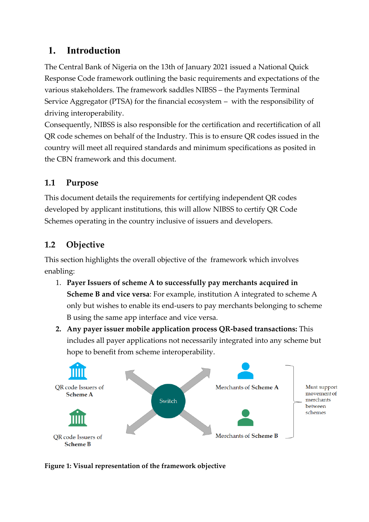#### <span id="page-2-0"></span>**1. Introduction**

The Central Bank of Nigeria on the 13th of January 2021 issued a National Quick Response Code framework outlining the basic requirements and expectations of the various stakeholders. The framework saddles NIBSS – the Payments Terminal Service Aggregator (PTSA) for the financial ecosystem – with the responsibility of driving interoperability.

Consequently, NIBSS is also responsible for the certification and recertification of all QR code schemes on behalf of the Industry. This is to ensure QR codes issued in the country will meet all required standards and minimum specifications as posited in the CBN framework and this document.

#### <span id="page-2-1"></span>**1.1 Purpose**

This document details the requirements for certifying independent QR codes developed by applicant institutions, this will allow NIBSS to certify QR Code Schemes operating in the country inclusive of issuers and developers.

## <span id="page-2-2"></span>**1.2 Objective**

This section highlights the overall objective of the framework which involves enabling:

- 1. **Payer Issuers of scheme A to successfully pay merchants acquired in Scheme B and vice versa**: For example, institution A integrated to scheme A only but wishes to enable its end-users to pay merchants belonging to scheme B using the same app interface and vice versa.
- **2. Any payer issuer mobile application process QR-based transactions:** This includes all payer applications not necessarily integrated into any scheme but hope to benefit from scheme interoperability.



**Figure 1: Visual representation of the framework objective**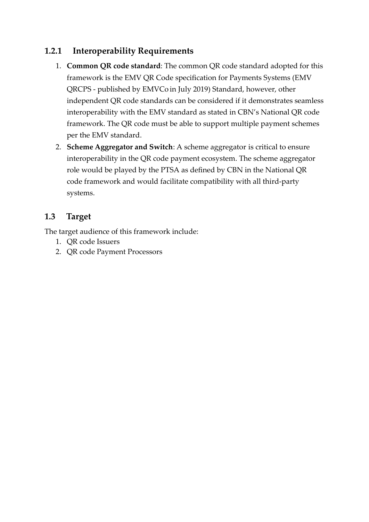#### <span id="page-3-0"></span>**1.2.1 Interoperability Requirements**

- 1. **Common QR code standard**: The common QR code standard adopted for this framework is the EMV QR Code specification for Payments Systems (EMV QRCPS - published by EMVCo in July 2019) Standard, however, other independent QR code standards can be considered if it demonstrates seamless interoperability with the EMV standard as stated in CBN's National QR code framework. The QR code must be able to support multiple payment schemes per the EMV standard.
- 2. **Scheme Aggregator and Switch**: A scheme aggregator is critical to ensure interoperability in the QR code payment ecosystem. The scheme aggregator role would be played by the PTSA as defined by CBN in the National QR code framework and would facilitate compatibility with all third-party systems.

#### <span id="page-3-1"></span>**1.3 Target**

The target audience of this framework include:

- 1. QR code Issuers
- 2. QR code Payment Processors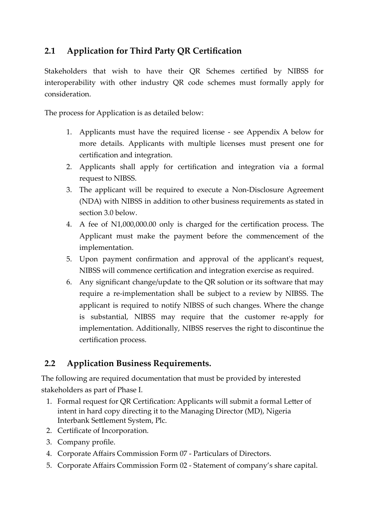#### <span id="page-4-0"></span>**2.1 Application for Third Party QR Certification**

Stakeholders that wish to have their QR Schemes certified by NIBSS for interoperability with other industry QR code schemes must formally apply for consideration.

The process for Application is as detailed below:

- 1. Applicants must have the required license see Appendix A below for more details. Applicants with multiple licenses must present one for certification and integration.
- 2. Applicants shall apply for certification and integration via a formal request to NIBSS.
- 3. The applicant will be required to execute a Non-Disclosure Agreement (NDA) with NIBSS in addition to other business requirements as stated in section 3.0 below.
- 4. A fee of N1,000,000.00 only is charged for the certification process. The Applicant must make the payment before the commencement of the implementation.
- 5. Upon payment confirmation and approval of the applicant's request, NIBSS will commence certification and integration exercise as required.
- 6. Any significant change/update to the QR solution or its software that may require a re-implementation shall be subject to a review by NIBSS. The applicant is required to notify NIBSS of such changes. Where the change is substantial, NIBSS may require that the customer re-apply for implementation. Additionally, NIBSS reserves the right to discontinue the certification process.

#### **2.2 Application Business Requirements.**

The following are required documentation that must be provided by interested stakeholders as part of Phase I.

- 1. Formal request for QR Certification: Applicants will submit a formal Letter of intent in hard copy directing it to the Managing Director (MD), Nigeria Interbank Settlement System, Plc.
- 2. Certificate of Incorporation.
- 3. Company profile.
- 4. Corporate Affairs Commission Form 07 Particulars of Directors.
- 5. Corporate Affairs Commission Form 02 Statement of company's share capital.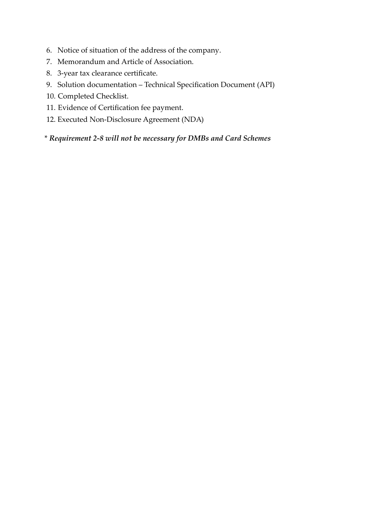- 6. Notice of situation of the address of the company.
- 7. Memorandum and Article of Association.
- 8. 3-year tax clearance certificate.
- 9. Solution documentation Technical Specification Document (API)
- 10. Completed Checklist.
- 11. Evidence of Certification fee payment.
- 12. Executed Non-Disclosure Agreement (NDA)

\* *Requirement 2-8 will not be necessary for DMBs and Card Schemes*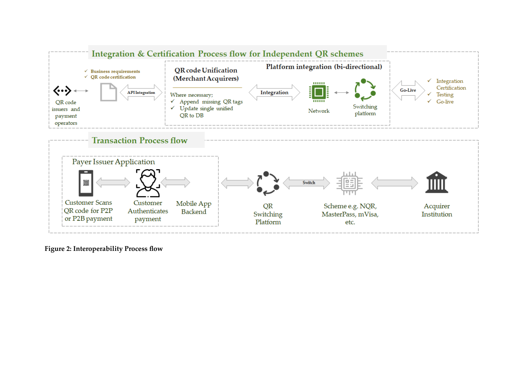

**Figure 2: Interoperability Process flow**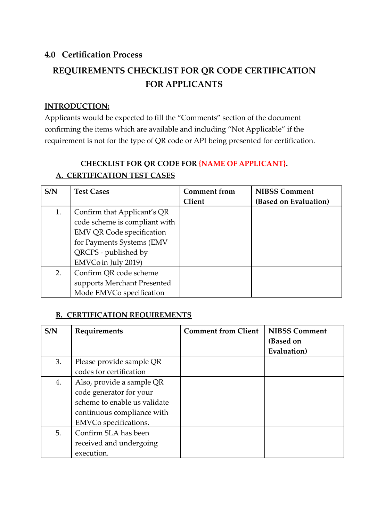#### <span id="page-7-0"></span>**4.0 Certification Process**

# **REQUIREMENTS CHECKLIST FOR QR CODE CERTIFICATION FOR APPLICANTS**

#### **INTRODUCTION:**

Applicants would be expected to fill the "Comments" section of the document confirming the items which are available and including "Not Applicable" if the requirement is not for the type of QR code or API being presented for certification.

#### **CHECKLIST FOR QR CODE FOR {NAME OF APPLICANT}. A. CERTIFICATION TEST CASES**

| S/N | <b>Test Cases</b>                | <b>Comment from</b> | <b>NIBSS Comment</b>  |
|-----|----------------------------------|---------------------|-----------------------|
|     |                                  | <b>Client</b>       | (Based on Evaluation) |
| 1.  | Confirm that Applicant's QR      |                     |                       |
|     | code scheme is compliant with    |                     |                       |
|     | <b>EMV QR Code specification</b> |                     |                       |
|     | for Payments Systems (EMV        |                     |                       |
|     | QRCPS - published by             |                     |                       |
|     | EMVCo in July 2019)              |                     |                       |
| 2.  | Confirm QR code scheme           |                     |                       |
|     | supports Merchant Presented      |                     |                       |
|     | Mode EMVCo specification         |                     |                       |

#### **B. CERTIFICATION REQUIREMENTS**

| S/N | Requirements                 | <b>Comment from Client</b> | <b>NIBSS Comment</b><br>(Based on |
|-----|------------------------------|----------------------------|-----------------------------------|
|     |                              |                            | Evaluation)                       |
| 3.  | Please provide sample QR     |                            |                                   |
|     | codes for certification      |                            |                                   |
| 4.  | Also, provide a sample QR    |                            |                                   |
|     | code generator for your      |                            |                                   |
|     | scheme to enable us validate |                            |                                   |
|     | continuous compliance with   |                            |                                   |
|     | EMVCo specifications.        |                            |                                   |
| 5.  | Confirm SLA has been         |                            |                                   |
|     | received and undergoing      |                            |                                   |
|     | execution.                   |                            |                                   |